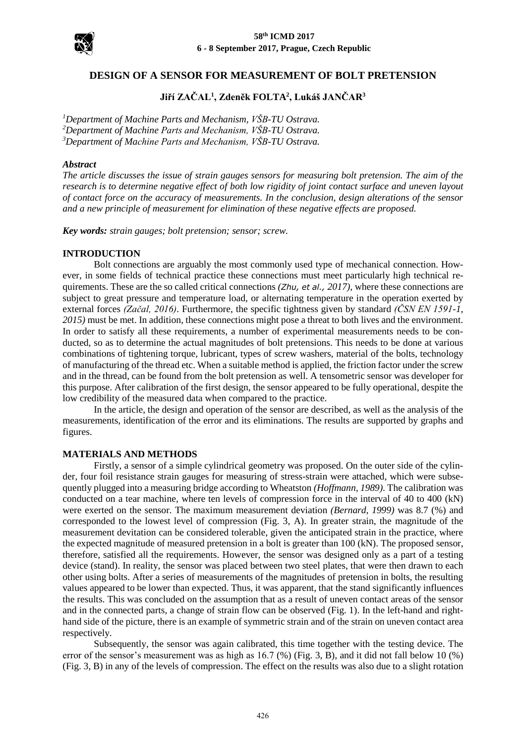

## **DESIGN OF A SENSOR FOR MEASUREMENT OF BOLT PRETENSION**

# **Jiří ZAČAL<sup>1</sup> , Zdeněk FOLTA<sup>2</sup> , Lukáš JANČAR<sup>3</sup>**

*<sup>1</sup>Department of Machine Parts and Mechanism, VŠB-TU Ostrava. <sup>2</sup>Department of Machine Parts and Mechanism, VŠB-TU Ostrava. <sup>3</sup>Department of Machine Parts and Mechanism, VŠB-TU Ostrava.*

#### *Abstract*

*The article discusses the issue of strain gauges sensors for measuring bolt pretension. The aim of the research is to determine negative effect of both low rigidity of joint contact surface and uneven layout of contact force on the accuracy of measurements. In the conclusion, design alterations of the sensor and a new principle of measurement for elimination of these negative effects are proposed.*

*Key words: strain gauges; bolt pretension; sensor; screw.*

#### **INTRODUCTION**

Bolt connections are arguably the most commonly used type of mechanical connection. However, in some fields of technical practice these connections must meet particularly high technical requirements. These are the so called critical connections *(Zhu, et al., 2017)*, where these connections are subject to great pressure and temperature load, or alternating temperature in the operation exerted by external forces *(Začal, 2016)*. Furthermore, the specific tightness given by standard *(ČSN EN 1591-1, 2015)* must be met. In addition, these connections might pose a threat to both lives and the environment. In order to satisfy all these requirements, a number of experimental measurements needs to be conducted, so as to determine the actual magnitudes of bolt pretensions. This needs to be done at various combinations of tightening torque, lubricant, types of screw washers, material of the bolts, technology of manufacturing of the thread etc. When a suitable method is applied, the friction factor under the screw and in the thread, can be found from the bolt pretension as well. A tensometric sensor was developer for this purpose. After calibration of the first design, the sensor appeared to be fully operational, despite the low credibility of the measured data when compared to the practice.

In the article, the design and operation of the sensor are described, as well as the analysis of the measurements, identification of the error and its eliminations. The results are supported by graphs and figures.

#### **MATERIALS AND METHODS**

Firstly, a sensor of a simple cylindrical geometry was proposed. On the outer side of the cylinder, four foil resistance strain gauges for measuring of stress-strain were attached, which were subsequently plugged into a measuring bridge according to Wheatston *(Hoffmann, 1989)*. The calibration was conducted on a tear machine, where ten levels of compression force in the interval of 40 to 400 (kN) were exerted on the sensor. The maximum measurement deviation *(Bernard, 1999)* was 8.7 (%) and corresponded to the lowest level of compression (Fig. 3, A). In greater strain, the magnitude of the measurement devitation can be considered tolerable, given the anticipated strain in the practice, where the expected magnitude of measured pretension in a bolt is greater than 100 (kN). The proposed sensor, therefore, satisfied all the requirements. However, the sensor was designed only as a part of a testing device (stand). In reality, the sensor was placed between two steel plates, that were then drawn to each other using bolts. After a series of measurements of the magnitudes of pretension in bolts, the resulting values appeared to be lower than expected. Thus, it was apparent, that the stand significantly influences the results. This was concluded on the assumption that as a result of uneven contact areas of the sensor and in the connected parts, a change of strain flow can be observed (Fig. 1). In the left-hand and righthand side of the picture, there is an example of symmetric strain and of the strain on uneven contact area respectively.

Subsequently, the sensor was again calibrated, this time together with the testing device. The error of the sensor's measurement was as high as 16.7 (%) (Fig. 3, B), and it did not fall below 10 (%) (Fig. 3, B) in any of the levels of compression. The effect on the results was also due to a slight rotation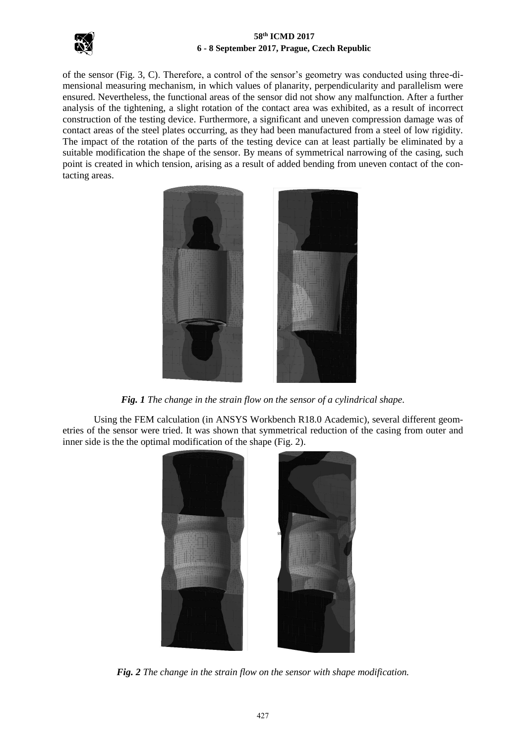

of the sensor (Fig. 3, C). Therefore, a control of the sensor's geometry was conducted using three-dimensional measuring mechanism, in which values of planarity, perpendicularity and parallelism were ensured. Nevertheless, the functional areas of the sensor did not show any malfunction. After a further analysis of the tightening, a slight rotation of the contact area was exhibited, as a result of incorrect construction of the testing device. Furthermore, a significant and uneven compression damage was of contact areas of the steel plates occurring, as they had been manufactured from a steel of low rigidity. The impact of the rotation of the parts of the testing device can at least partially be eliminated by a suitable modification the shape of the sensor. By means of symmetrical narrowing of the casing, such point is created in which tension, arising as a result of added bending from uneven contact of the contacting areas.



*Fig. 1 The change in the strain flow on the sensor of a cylindrical shape.*

Using the FEM calculation (in ANSYS Workbench R18.0 Academic), several different geometries of the sensor were tried. It was shown that symmetrical reduction of the casing from outer and inner side is the the optimal modification of the shape (Fig. 2).



*Fig. 2 The change in the strain flow on the sensor with shape modification.*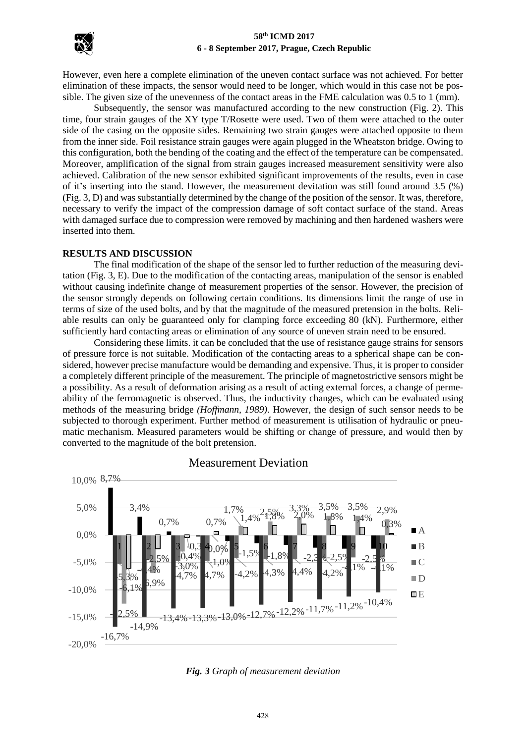

However, even here a complete elimination of the uneven contact surface was not achieved. For better elimination of these impacts, the sensor would need to be longer, which would in this case not be possible. The given size of the unevenness of the contact areas in the FME calculation was 0.5 to 1 (mm).

Subsequently, the sensor was manufactured according to the new construction (Fig. 2). This time, four strain gauges of the XY type T/Rosette were used. Two of them were attached to the outer side of the casing on the opposite sides. Remaining two strain gauges were attached opposite to them from the inner side. Foil resistance strain gauges were again plugged in the Wheatston bridge. Owing to this configuration, both the bending of the coating and the effect of the temperature can be compensated. Moreover, amplification of the signal from strain gauges increased measurement sensitivity were also achieved. Calibration of the new sensor exhibited significant improvements of the results, even in case of it's inserting into the stand. However, the measurement devitation was still found around 3.5 (%) (Fig. 3, D) and was substantially determined by the change of the position of the sensor. It was, therefore, necessary to verify the impact of the compression damage of soft contact surface of the stand. Areas with damaged surface due to compression were removed by machining and then hardened washers were inserted into them.

#### **RESULTS AND DISCUSSION**

The final modification of the shape of the sensor led to further reduction of the measuring devitation (Fig. 3, E). Due to the modification of the contacting areas, manipulation of the sensor is enabled without causing indefinite change of measurement properties of the sensor. However, the precision of the sensor strongly depends on following certain conditions. Its dimensions limit the range of use in terms of size of the used bolts, and by that the magnitude of the measured pretension in the bolts. Reliable results can only be guaranteed only for clamping force exceeding 80 (kN). Furthermore, either sufficiently hard contacting areas or elimination of any source of uneven strain need to be ensured.

Considering these limits. it can be concluded that the use of resistance gauge strains for sensors of pressure force is not suitable. Modification of the contacting areas to a spherical shape can be considered, however precise manufacture would be demanding and expensive. Thus, it is proper to consider a completely different principle of the measurement. The principle of magnetostrictive sensors might be a possibility. As a result of deformation arising as a result of acting external forces, a change of permeability of the ferromagnetic is observed. Thus, the inductivity changes, which can be evaluated using methods of the measuring bridge *(Hoffmann, 1989)*. However, the design of such sensor needs to be subjected to thorough experiment. Further method of measurement is utilisation of hydraulic or pneumatic mechanism. Measured parameters would be shifting or change of pressure, and would then by converted to the magnitude of the bolt pretension.



Measurement Deviation